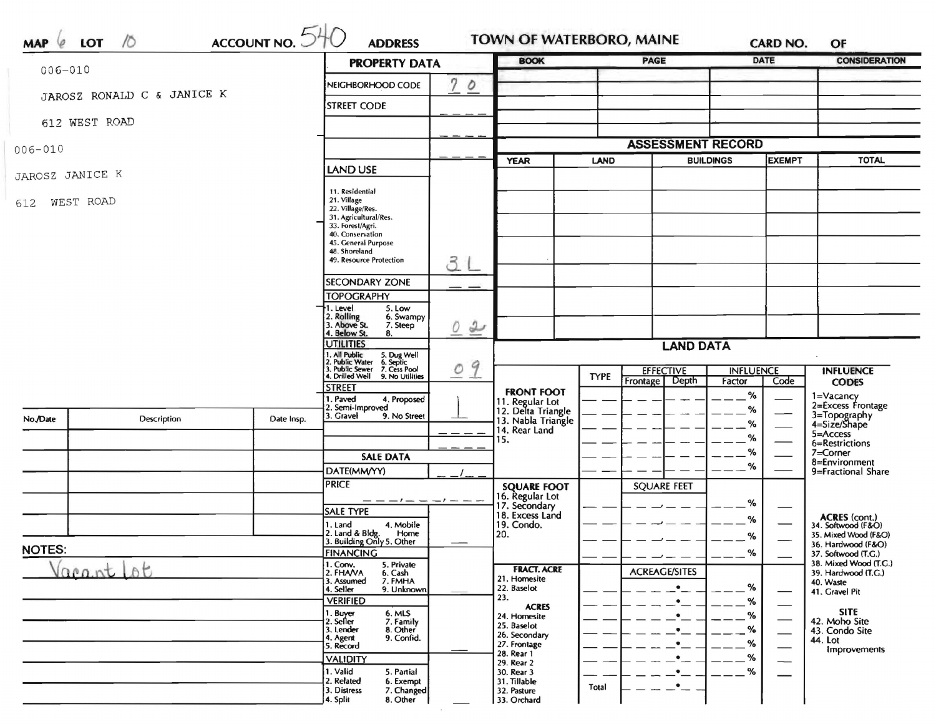| ACCOUNT NO. 540<br>$006 - 010$ |                            |                                                                                                                                                                     | <b>PROPERTY DATA</b>                                                                                                                                        |                          | <b>BOOK</b>                                                 |             | <b>PAGE</b>                       |                  | <b>DATE</b>                                  | <b>CONSIDERATION</b>                                                                                             |
|--------------------------------|----------------------------|---------------------------------------------------------------------------------------------------------------------------------------------------------------------|-------------------------------------------------------------------------------------------------------------------------------------------------------------|--------------------------|-------------------------------------------------------------|-------------|-----------------------------------|------------------|----------------------------------------------|------------------------------------------------------------------------------------------------------------------|
|                                |                            | NEIGHBORHOOD CODE                                                                                                                                                   | $\mathcal{P}$<br>$\circ$                                                                                                                                    |                          |                                                             |             |                                   |                  |                                              |                                                                                                                  |
|                                | JAROSZ RONALD C & JANICE K |                                                                                                                                                                     | STREET CODE                                                                                                                                                 |                          |                                                             |             |                                   |                  |                                              |                                                                                                                  |
|                                | 612 WEST ROAD              |                                                                                                                                                                     |                                                                                                                                                             |                          |                                                             |             |                                   |                  |                                              |                                                                                                                  |
| 006-010                        |                            |                                                                                                                                                                     |                                                                                                                                                             | <b>ASSESSMENT RECORD</b> |                                                             |             |                                   |                  |                                              |                                                                                                                  |
| JAROSZ JANICE K                |                            | <b>LAND USE</b>                                                                                                                                                     |                                                                                                                                                             | <b>YEAR</b>              | LAND                                                        |             | <b>BUILDINGS</b>                  | <b>EXEMPT</b>    | <b>TOTAL</b>                                 |                                                                                                                  |
|                                |                            | 11. Residential                                                                                                                                                     |                                                                                                                                                             |                          |                                                             |             |                                   |                  |                                              |                                                                                                                  |
| WEST ROAD<br>612               |                            | 21. Village<br>22. Village/Res.<br>31. Agricultural/Res.<br>33. Forest/Agri.<br>40. Conservation<br>45. General Purpose<br>48. Shoreland<br>49. Resource Protection | 31                                                                                                                                                          |                          |                                                             |             |                                   |                  |                                              |                                                                                                                  |
|                                |                            |                                                                                                                                                                     | <b>SECONDARY ZONE</b>                                                                                                                                       |                          |                                                             |             |                                   |                  |                                              |                                                                                                                  |
|                                |                            |                                                                                                                                                                     | <b>TOPOGRAPHY</b>                                                                                                                                           |                          |                                                             |             |                                   |                  |                                              |                                                                                                                  |
|                                |                            |                                                                                                                                                                     | 1. Level<br>5. Low<br>2. Rolling<br>3. Above St.<br>6. Swampy<br>7. Steep                                                                                   | $\overline{2}$<br>0      |                                                             |             |                                   |                  |                                              |                                                                                                                  |
|                                |                            |                                                                                                                                                                     | 4. Below St.<br>8.<br><b>UTILITIES</b>                                                                                                                      |                          | <b>LAND DATA</b>                                            |             |                                   |                  |                                              |                                                                                                                  |
|                                |                            |                                                                                                                                                                     | . All Public<br>. Public Water<br>1. All Public 5. Dug Well<br>2. Public Water 6. Septic<br>3. Public Sewer 7. Cess Pool<br>4. Drilled Well 9. No Utilities | 9<br>$\circ$             |                                                             | <b>TYPE</b> | <b>EFFECTIVE</b>                  | <b>INFLUENCE</b> |                                              | <b>INFLUENCE</b>                                                                                                 |
|                                |                            |                                                                                                                                                                     | <b>STREET</b>                                                                                                                                               |                          | <b>FRONT FOOT</b>                                           |             | Depth<br>Frontage                 | Factor<br>%      | Code                                         | <b>CODES</b>                                                                                                     |
| No./Date                       | Description                | Date Insp.                                                                                                                                                          | I. Paved<br>4. Proposed<br>2. Semi-Improved<br>3. Gravel<br>9. No Street                                                                                    |                          | 11. Regular Lot<br>12. Delta Triangle<br>13. Nabla Triangle |             |                                   | %<br>%           |                                              | 1=Vacancy<br>2=Excess Frontage<br>3=Topography<br>4=Size/Shape<br>$5 = Access$<br>6=Restrictions<br>$7 =$ Corner |
|                                |                            |                                                                                                                                                                     |                                                                                                                                                             |                          | 14. Rear Land<br>15.                                        |             |                                   | %                |                                              |                                                                                                                  |
|                                |                            |                                                                                                                                                                     | <b>SALE DATA</b>                                                                                                                                            |                          |                                                             |             |                                   | %                |                                              |                                                                                                                  |
|                                |                            |                                                                                                                                                                     | DATE(MM/YY)                                                                                                                                                 |                          |                                                             |             |                                   | %                |                                              | 8=Environment<br>9=Fractional Share                                                                              |
|                                |                            |                                                                                                                                                                     | <b>PRICE</b>                                                                                                                                                |                          | <b>SQUARE FOOT</b><br>16. Regular Lot                       |             | <b>SQUARE FEET</b>                |                  |                                              | ACRES (cont.)<br>34. Softwood (F&O)                                                                              |
|                                |                            |                                                                                                                                                                     | $-1-$<br><b>SALE TYPE</b>                                                                                                                                   |                          | 17. Secondary                                               |             |                                   | %                |                                              |                                                                                                                  |
|                                |                            |                                                                                                                                                                     | 1. Land<br>4. Mobile                                                                                                                                        |                          | 18. Excess Land<br>19. Condo.                               |             |                                   | %                |                                              |                                                                                                                  |
|                                |                            |                                                                                                                                                                     | 2. Land & Bldg. Home<br>3. Building Only 5. Other<br>Home                                                                                                   |                          | 20.                                                         |             |                                   | %                |                                              | 35. Mixed Wood (F&O)<br>36. Hardwood (F&O)                                                                       |
| <b>NOTES:</b>                  |                            | <b>FINANCING</b>                                                                                                                                                    |                                                                                                                                                             |                          |                                                             | $ -$        | O/L<br>70                         |                  | 37. Softwood (T.C.)<br>38. Mixed Wood (T.G.) |                                                                                                                  |
| acant Lot                      |                            |                                                                                                                                                                     | 1. Conv.<br>5. Private<br>2. FHAVA<br>6. Cash<br>7. FMHA<br>3. Assumed<br>4. Seller<br>9. Unknown                                                           |                          | <b>FRACT. ACRE</b><br>21. Homesite<br>22. Baselot           |             | <b>ACREAGE/SITES</b><br>$\bullet$ | %                |                                              | 39. Hardwood (T.C.)<br>40. Waste<br>41. Gravel Pit                                                               |
|                                |                            |                                                                                                                                                                     | <b>VERIFIED</b>                                                                                                                                             |                          | 23.<br><b>ACRES</b>                                         |             |                                   | %                |                                              |                                                                                                                  |
|                                |                            |                                                                                                                                                                     | 1. Buyer<br>2. Seller<br>6. MLS<br>7. Family                                                                                                                |                          | 24. Homesite                                                |             |                                   | %                |                                              | <b>SITE</b><br>42. Moho Site                                                                                     |
|                                |                            |                                                                                                                                                                     | 3. Lender<br>8. Other<br>9. Confid.<br>4. Agent                                                                                                             |                          | 25. Baselot<br>26. Secondary                                |             | $\bullet$                         | %                |                                              | 43. Condo Site<br>44. Lot                                                                                        |
|                                |                            |                                                                                                                                                                     | 5. Record                                                                                                                                                   |                          | 27. Frontage<br>28. Rear 1                                  |             | $\bullet$                         | %                |                                              | Improvements                                                                                                     |
|                                |                            |                                                                                                                                                                     | <b>VALIDITY</b>                                                                                                                                             |                          | 29. Rear 2                                                  |             | $\bullet$                         | %                |                                              |                                                                                                                  |
|                                |                            |                                                                                                                                                                     | 1. Valid<br>5. Partial<br>2. Related<br>6. Exempt<br>3. Distress<br>7. Changed                                                                              |                          | 30. Rear 3<br>31. Tillable                                  |             | $\bullet$<br>$\cdot$              | %                |                                              |                                                                                                                  |
|                                |                            |                                                                                                                                                                     |                                                                                                                                                             |                          | 32. Pasture                                                 | Total       |                                   |                  |                                              |                                                                                                                  |